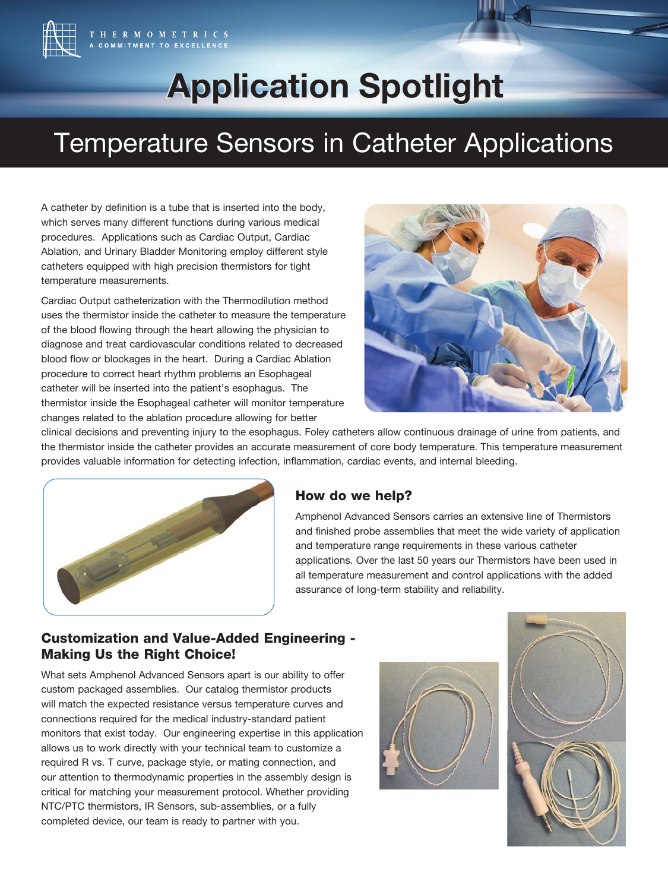

# **Application Spotlight Application Spotlight**

## Temperature Sensors in Catheter Applications

A catheter by definition is a tube that is inserted into the body, which serves many different functions during various medical procedures. Applications such as Cardiac Output, Cardiac Ablation, and Urinary Bladder Monitoring employ different style catheters equipped with high precision thermistors for tight temperature measurements.

Cardiac Output catheterization with the Thermodilution method uses the thermistor inside the catheter to measure the temperature of the blood flowing through the heart allowing the physician to diagnose and treat cardiovascular conditions related to decreased blood flow or blockages in the heart. During a Cardiac Ablation procedure to correct heart rhythm problems an Esophageal catheter will be inserted into the patient's esophagus. The thermistor inside the Esophageal catheter will monitor temperature changes related to the ablation procedure allowing for better



clinical decisions and preventing injury to the esophagus. Foley catheters allow continuous drainage of urine from patients, and the thermistor inside the catheter provides an accurate measurement of core body temperature. This temperature measurement provides valuable information for detecting infection, inflammation, cardiac events, and internal bleeding.



### How do we help?

Amphenol Advanced Sensors carries an extensive line of Thermistors and finished probe assemblies that meet the wide variety of application and temperature range requirements in these various catheter applications. Over the last 50 years our Thermistors have been used in all temperature measurement and control applications with the added assurance of long-term stability and reliability.

### Customization and Value-Added Engineering - Making Us the Right Choice!

What sets Amphenol Advanced Sensors apart is our ability to offer custom packaged assemblies. Our catalog thermistor products will match the expected resistance versus temperature curves and connections required for the medical industry-standard patient monitors that exist today. Our engineering expertise in this application allows us to work directly with your technical team to customize a required R vs. T curve, package style, or mating connection, and our attention to thermodynamic properties in the assembly design is critical for matching your measurement protocol. Whether providing NTC/PTC thermistors, IR Sensors, sub-assemblies, or a fully completed device, our team is ready to partner with you.